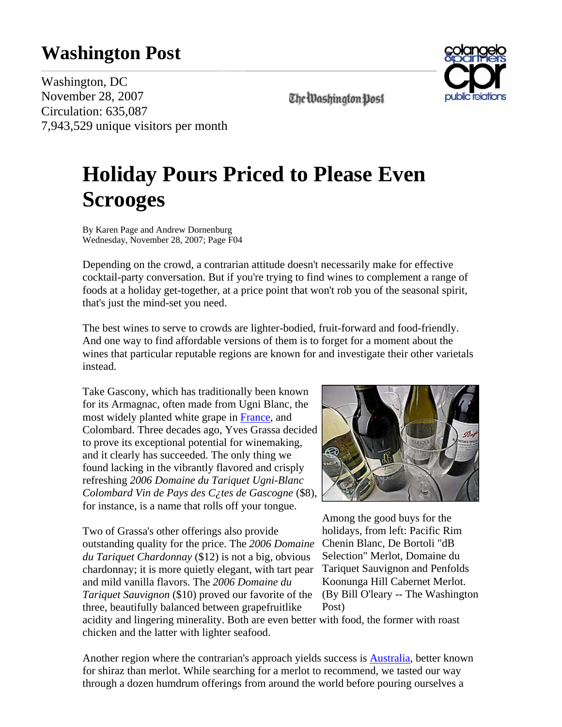## **Washington Post**



**The Washington Dost** 

Washington, DC November 28, 2007 Circulation: 635,087 7,943,529 unique visitors per month

## **Holiday Pours Priced to Please Even Scrooges**

By Karen Page and Andrew Dornenburg Wednesday, November 28, 2007; Page F04

Depending on the crowd, a contrarian attitude doesn't necessarily make for effective cocktail-party conversation. But if you're trying to find wines to complement a range of foods at a holiday get-together, at a price point that won't rob you of the seasonal spirit, that's just the mind-set you need.

The best wines to serve to crowds are lighter-bodied, fruit-forward and food-friendly. And one way to find affordable versions of them is to forget for a moment about the wines that particular reputable regions are known for and investigate their other varietals instead.

Take Gascony, which has traditionally been known for its Armagnac, often made from Ugni Blanc, the most widely planted white grape in France, and Colombard. Three decades ago, Yves Grassa decided to prove its exceptional potential for winemaking, and it clearly has succeeded. The only thing we found lacking in the vibrantly flavored and crisply refreshing *2006 Domaine du Tariquet Ugni-Blanc Colombard Vin de Pays des C¿tes de Gascogne* (\$8), for instance, is a name that rolls off your tongue.

Two of Grassa's other offerings also provide outstanding quality for the price. The *2006 Domaine du Tariquet Chardonnay* (\$12) is not a big, obvious chardonnay; it is more quietly elegant, with tart pear and mild vanilla flavors. The *2006 Domaine du Tariquet Sauvignon* (\$10) proved our favorite of the three, beautifully balanced between grapefruitlike



Among the good buys for the holidays, from left: Pacific Rim Chenin Blanc, De Bortoli "dB Selection" Merlot, Domaine du Tariquet Sauvignon and Penfolds Koonunga Hill Cabernet Merlot. (By Bill O'leary -- The Washington Post)

acidity and lingering minerality. Both are even better with food, the former with roast chicken and the latter with lighter seafood.

Another region where the contrarian's approach yields success is Australia, better known for shiraz than merlot. While searching for a merlot to recommend, we tasted our way through a dozen humdrum offerings from around the world before pouring ourselves a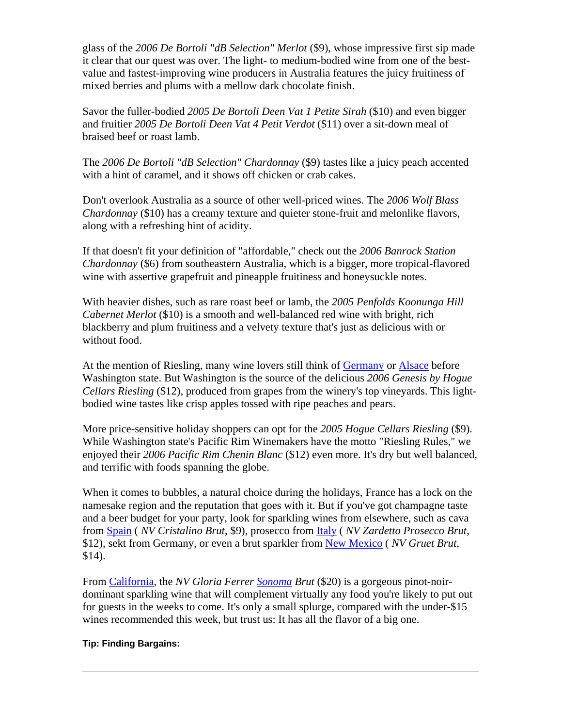glass of the *2006 De Bortoli "dB Selection" Merlot* (\$9), whose impressive first sip made it clear that our quest was over. The light- to medium-bodied wine from one of the bestvalue and fastest-improving wine producers in Australia features the juicy fruitiness of mixed berries and plums with a mellow dark chocolate finish.

Savor the fuller-bodied *2005 De Bortoli Deen Vat 1 Petite Sirah* (\$10) and even bigger and fruitier *2005 De Bortoli Deen Vat 4 Petit Verdot* (\$11) over a sit-down meal of braised beef or roast lamb.

The *2006 De Bortoli "dB Selection" Chardonnay* (\$9) tastes like a juicy peach accented with a hint of caramel, and it shows off chicken or crab cakes.

Don't overlook Australia as a source of other well-priced wines. The *2006 Wolf Blass Chardonnay* (\$10) has a creamy texture and quieter stone-fruit and melonlike flavors, along with a refreshing hint of acidity.

If that doesn't fit your definition of "affordable," check out the *2006 Banrock Station Chardonnay* (\$6) from southeastern Australia, which is a bigger, more tropical-flavored wine with assertive grapefruit and pineapple fruitiness and honeysuckle notes.

With heavier dishes, such as rare roast beef or lamb, the *2005 Penfolds Koonunga Hill Cabernet Merlot* (\$10) is a smooth and well-balanced red wine with bright, rich blackberry and plum fruitiness and a velvety texture that's just as delicious with or without food.

At the mention of Riesling, many wine lovers still think of Germany or Alsace before Washington state. But Washington is the source of the delicious *2006 Genesis by Hogue Cellars Riesling* (\$12), produced from grapes from the winery's top vineyards. This lightbodied wine tastes like crisp apples tossed with ripe peaches and pears.

More price-sensitive holiday shoppers can opt for the *2005 Hogue Cellars Riesling* (\$9). While Washington state's Pacific Rim Winemakers have the motto "Riesling Rules," we enjoyed their *2006 Pacific Rim Chenin Blanc* (\$12) even more. It's dry but well balanced, and terrific with foods spanning the globe.

When it comes to bubbles, a natural choice during the holidays, France has a lock on the namesake region and the reputation that goes with it. But if you've got champagne taste and a beer budget for your party, look for sparkling wines from elsewhere, such as cava from Spain ( *NV Cristalino Brut*, \$9), prosecco from Italy ( *NV Zardetto Prosecco Brut*, \$12), sekt from Germany, or even a brut sparkler from New Mexico ( *NV Gruet Brut*, \$14).

From California, the *NV Gloria Ferrer Sonoma Brut* (\$20) is a gorgeous pinot-noirdominant sparkling wine that will complement virtually any food you're likely to put out for guests in the weeks to come. It's only a small splurge, compared with the under-\$15 wines recommended this week, but trust us: It has all the flavor of a big one.

## **Tip: Finding Bargains:**